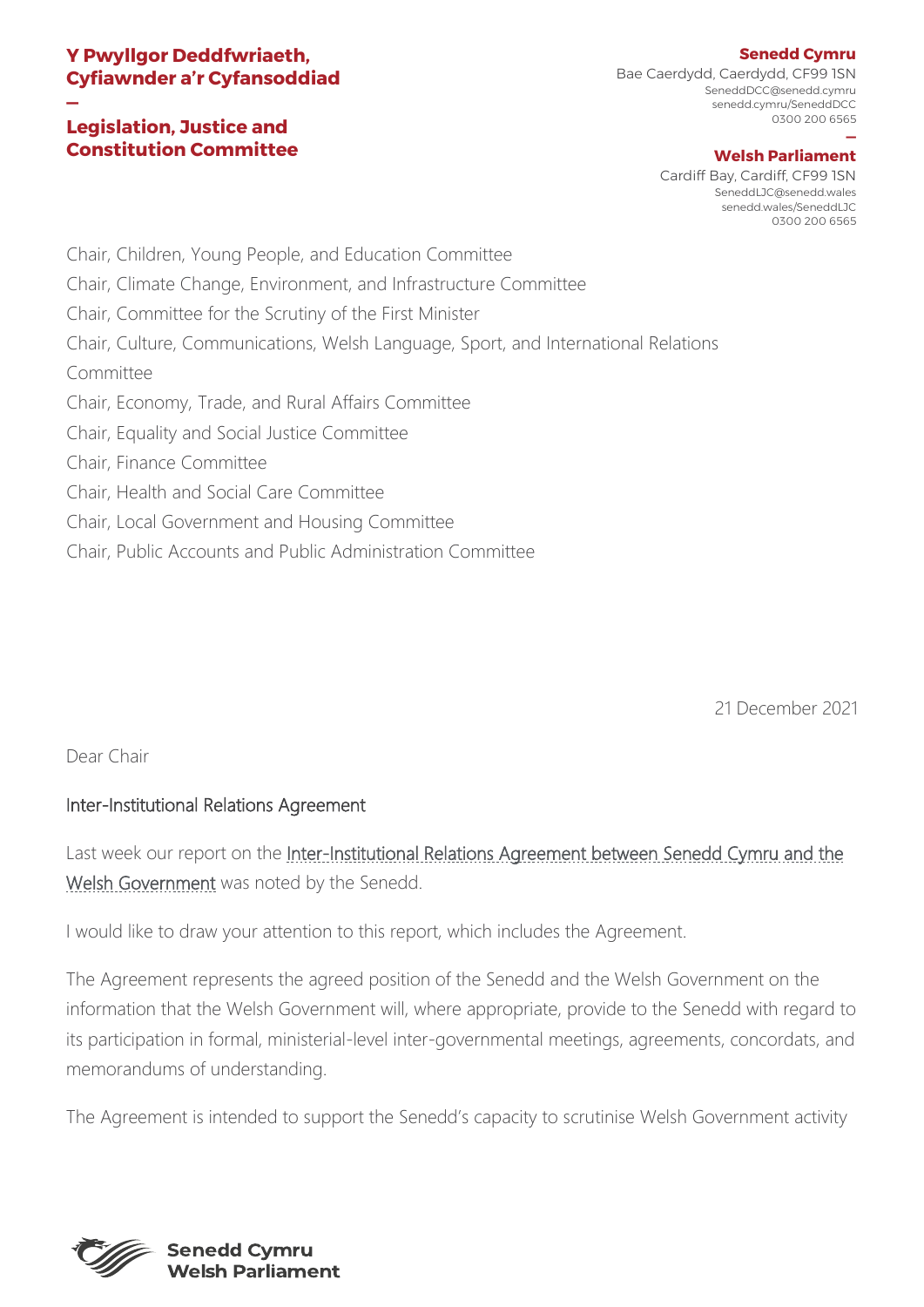# **Y Pwyllgor Deddfwriaeth, Cyfiawnder a'r Cyfansoddiad**

### **— Legislation, Justice and Constitution Committee**

Bae Caerdydd, Caerdydd, CF99 1SN SeneddDCC@senedd.cymru senedd.cymru/SeneddDCC 0300 200 6565

#### **— Welsh Parliament**

Cardiff Bay, Cardiff, CF99 1SN SeneddLJC@senedd.wales senedd.wales/SeneddLJC 0300 200 6565

Chair, Children, Young People, and Education Committee Chair, Climate Change, Environment, and Infrastructure Committee Chair, Committee for the Scrutiny of the First Minister Chair, Culture, Communications, Welsh Language, Sport, and International Relations Committee Chair, Economy, Trade, and Rural Affairs Committee Chair, Equality and Social Justice Committee Chair, Finance Committee Chair, Health and Social Care Committee Chair, Local Government and Housing Committee

Chair, Public Accounts and Public Administration Committee

21 December 2021

Dear Chair

# Inter-Institutional Relations Agreement

Last week our report on the Inter-Institutional Relations Agreement between Senedd Cymru and the [Welsh Government](https://senedd.wales/media/ifdavfn2/cr-ld14674-e.pdf) was noted by the Senedd.

I would like to draw your attention to this report, which includes the Agreement.

The Agreement represents the agreed position of the Senedd and the Welsh Government on the information that the Welsh Government will, where appropriate, provide to the Senedd with regard to its participation in formal, ministerial-level inter-governmental meetings, agreements, concordats, and memorandums of understanding.

The Agreement is intended to support the Senedd's capacity to scrutinise Welsh Government activity



### **Senedd Cymru**